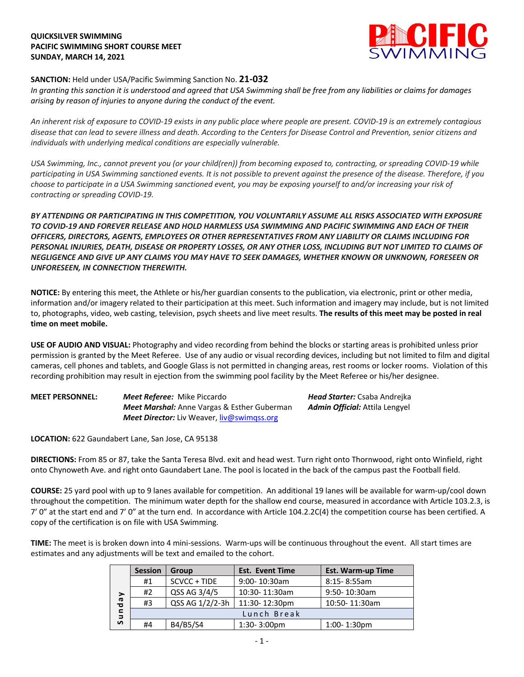## **QUICKSILVER SWIMMING PACIFIC SWIMMING SHORT COURSE MEET SUNDAY, MARCH 14, 2021**



## **SANCTION:** Held under USA/Pacific Swimming Sanction No. **21-032**

*In granting this sanction it is understood and agreed that USA Swimming shall be free from any liabilities or claims for damages arising by reason of injuries to anyone during the conduct of the event.* 

*An inherent risk of exposure to COVID-19 exists in any public place where people are present. COVID-19 is an extremely contagious disease that can lead to severe illness and death. According to the Centers for Disease Control and Prevention, senior citizens and individuals with underlying medical conditions are especially vulnerable.*

*USA Swimming, Inc., cannot prevent you (or your child(ren)) from becoming exposed to, contracting, or spreading COVID-19 while participating in USA Swimming sanctioned events. It is not possible to prevent against the presence of the disease. Therefore, if you choose to participate in a USA Swimming sanctioned event, you may be exposing yourself to and/or increasing your risk of contracting or spreading COVID-19.*

*BY ATTENDING OR PARTICIPATING IN THIS COMPETITION, YOU VOLUNTARILY ASSUME ALL RISKS ASSOCIATED WITH EXPOSURE TO COVID-19 AND FOREVER RELEASE AND HOLD HARMLESS USA SWIMMING AND PACIFIC SWIMMING AND EACH OF THEIR OFFICERS, DIRECTORS, AGENTS, EMPLOYEES OR OTHER REPRESENTATIVES FROM ANY LIABILITY OR CLAIMS INCLUDING FOR PERSONAL INJURIES, DEATH, DISEASE OR PROPERTY LOSSES, OR ANY OTHER LOSS, INCLUDING BUT NOT LIMITED TO CLAIMS OF NEGLIGENCE AND GIVE UP ANY CLAIMS YOU MAY HAVE TO SEEK DAMAGES, WHETHER KNOWN OR UNKNOWN, FORESEEN OR UNFORESEEN, IN CONNECTION THEREWITH.*

**NOTICE:** By entering this meet, the Athlete or his/her guardian consents to the publication, via electronic, print or other media, information and/or imagery related to their participation at this meet. Such information and imagery may include, but is not limited to, photographs, video, web casting, television, psych sheets and live meet results. **The results of this meet may be posted in real time on meet mobile.**

**USE OF AUDIO AND VISUAL:** Photography and video recording from behind the blocks or starting areas is prohibited unless prior permission is granted by the Meet Referee. Use of any audio or visual recording devices, including but not limited to film and digital cameras, cell phones and tablets, and Google Glass is not permitted in changing areas, rest rooms or locker rooms. Violation of this recording prohibition may result in ejection from the swimming pool facility by the Meet Referee or his/her designee.

| <b>MEET PERSONNEL:</b> | <b>Meet Referee:</b> Mike Piccardo                 | <b>Head Starter:</b> Csaba Andreika   |
|------------------------|----------------------------------------------------|---------------------------------------|
|                        | <b>Meet Marshal:</b> Anne Vargas & Esther Guberman | <b>Admin Official:</b> Attila Lengyel |
|                        | <b>Meet Director:</b> Liv Weaver, liv@swimgss.org  |                                       |

**LOCATION:** 622 Gaundabert Lane, San Jose, CA 95138

**DIRECTIONS:** From 85 or 87, take the Santa Teresa Blvd. exit and head west. Turn right onto Thornwood, right onto Winfield, right onto Chynoweth Ave. and right onto Gaundabert Lane. The pool is located in the back of the campus past the Football field.

**COURSE:** 25 yard pool with up to 9 lanes available for competition. An additional 19 lanes will be available for warm-up/cool down throughout the competition. The minimum water depth for the shallow end course, measured in accordance with Article 103.2.3, is 7' 0" at the start end and 7' 0" at the turn end. In accordance with Article 104.2.2C(4) the competition course has been certified. A copy of the certification is on file with USA Swimming.

**TIME:** The meet is is broken down into 4 mini-sessions. Warm-ups will be continuous throughout the event. All start times are estimates and any adjustments will be text and emailed to the cohort.

| ➤<br>G<br>ъ<br>$\blacksquare$<br>$\Rightarrow$<br>S | <b>Session</b> | Group           | <b>Est. Event Time</b>  | <b>Est. Warm-up Time</b> |  |
|-----------------------------------------------------|----------------|-----------------|-------------------------|--------------------------|--|
|                                                     | #1             | SCVCC + TIDE    | $9:00 - 10:30$ am       | $8:15 - 8:55am$          |  |
|                                                     | #2             | QSS AG 3/4/5    | 10:30-11:30am           | 9:50-10:30am             |  |
|                                                     | #3             | QSS AG 1/2/2-3h | 11:30-12:30pm           | 10:50-11:30am            |  |
|                                                     | Lunch Break    |                 |                         |                          |  |
|                                                     | #4             | B4/B5/S4        | $1:30 - 3:00 \text{pm}$ | $1:00 - 1:30$ pm         |  |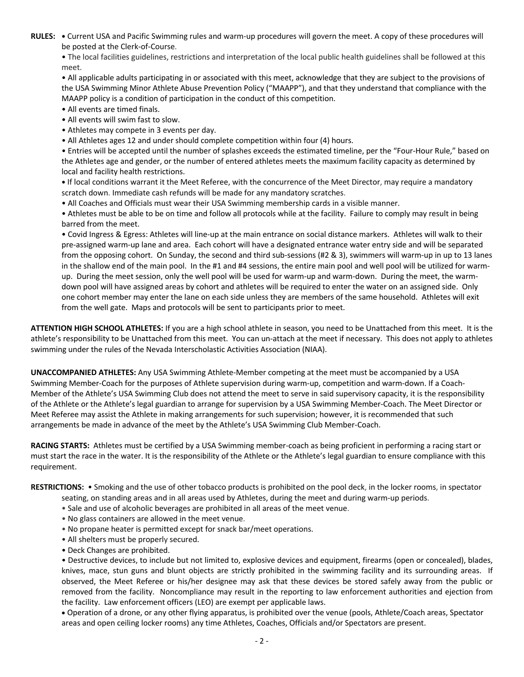**RULES: •** Current USA and Pacific Swimming rules and warm-up procedures will govern the meet. A copy of these procedures will be posted at the Clerk-of-Course.

• The local facilities guidelines, restrictions and interpretation of the local public health guidelines shall be followed at this meet.

• All applicable adults participating in or associated with this meet, acknowledge that they are subject to the provisions of the USA Swimming Minor Athlete Abuse Prevention Policy ("MAAPP"), and that they understand that compliance with the MAAPP policy is a condition of participation in the conduct of this competition.

• All events are timed finals.

- All events will swim fast to slow.
- Athletes may compete in 3 events per day.
- All Athletes ages 12 and under should complete competition within four (4) hours.

• Entries will be accepted until the number of splashes exceeds the estimated timeline, per the "Four-Hour Rule," based on the Athletes age and gender, or the number of entered athletes meets the maximum facility capacity as determined by local and facility health restrictions.

**•** If local conditions warrant it the Meet Referee, with the concurrence of the Meet Director, may require a mandatory scratch down. Immediate cash refunds will be made for any mandatory scratches.

• All Coaches and Officials must wear their USA Swimming membership cards in a visible manner.

• Athletes must be able to be on time and follow all protocols while at the facility. Failure to comply may result in being barred from the meet.

• Covid Ingress & Egress: Athletes will line-up at the main entrance on social distance markers. Athletes will walk to their pre-assigned warm-up lane and area. Each cohort will have a designated entrance water entry side and will be separated from the opposing cohort. On Sunday, the second and third sub-sessions (#2 & 3), swimmers will warm-up in up to 13 lanes in the shallow end of the main pool. In the #1 and #4 sessions, the entire main pool and well pool will be utilized for warmup. During the meet session, only the well pool will be used for warm-up and warm-down. During the meet, the warmdown pool will have assigned areas by cohort and athletes will be required to enter the water on an assigned side. Only one cohort member may enter the lane on each side unless they are members of the same household. Athletes will exit from the well gate. Maps and protocols will be sent to participants prior to meet.

**ATTENTION HIGH SCHOOL ATHLETES:** If you are a high school athlete in season, you need to be Unattached from this meet. It is the athlete's responsibility to be Unattached from this meet. You can un-attach at the meet if necessary. This does not apply to athletes swimming under the rules of the Nevada Interscholastic Activities Association (NIAA).

**UNACCOMPANIED ATHLETES:** Any USA Swimming Athlete-Member competing at the meet must be accompanied by a USA Swimming Member-Coach for the purposes of Athlete supervision during warm-up, competition and warm-down. If a Coach-Member of the Athlete's USA Swimming Club does not attend the meet to serve in said supervisory capacity, it is the responsibility of the Athlete or the Athlete's legal guardian to arrange for supervision by a USA Swimming Member-Coach. The Meet Director or Meet Referee may assist the Athlete in making arrangements for such supervision; however, it is recommended that such arrangements be made in advance of the meet by the Athlete's USA Swimming Club Member-Coach.

**RACING STARTS:** Athletes must be certified by a USA Swimming member-coach as being proficient in performing a racing start or must start the race in the water. It is the responsibility of the Athlete or the Athlete's legal guardian to ensure compliance with this requirement.

**RESTRICTIONS:** • Smoking and the use of other tobacco products is prohibited on the pool deck, in the locker rooms, in spectator

- seating, on standing areas and in all areas used by Athletes, during the meet and during warm-up periods.
- Sale and use of alcoholic beverages are prohibited in all areas of the meet venue.
- No glass containers are allowed in the meet venue.
- No propane heater is permitted except for snack bar/meet operations.
- All shelters must be properly secured.
- Deck Changes are prohibited.

• Destructive devices, to include but not limited to, explosive devices and equipment, firearms (open or concealed), blades, knives, mace, stun guns and blunt objects are strictly prohibited in the swimming facility and its surrounding areas. If observed, the Meet Referee or his/her designee may ask that these devices be stored safely away from the public or removed from the facility. Noncompliance may result in the reporting to law enforcement authorities and ejection from the facility. Law enforcement officers (LEO) are exempt per applicable laws.

• Operation of a drone, or any other flying apparatus, is prohibited over the venue (pools, Athlete/Coach areas, Spectator areas and open ceiling locker rooms) any time Athletes, Coaches, Officials and/or Spectators are present.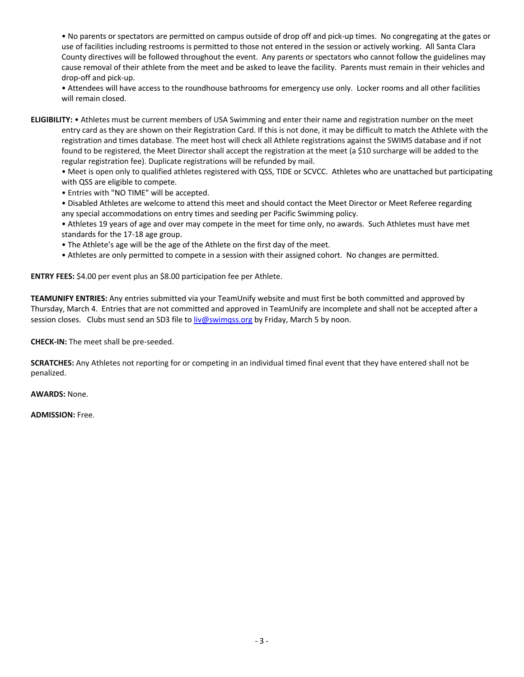• No parents or spectators are permitted on campus outside of drop off and pick-up times. No congregating at the gates or use of facilities including restrooms is permitted to those not entered in the session or actively working. All Santa Clara County directives will be followed throughout the event. Any parents or spectators who cannot follow the guidelines may cause removal of their athlete from the meet and be asked to leave the facility. Parents must remain in their vehicles and drop-off and pick-up.

• Attendees will have access to the roundhouse bathrooms for emergency use only. Locker rooms and all other facilities will remain closed.

**ELIGIBILITY:** • Athletes must be current members of USA Swimming and enter their name and registration number on the meet entry card as they are shown on their Registration Card. If this is not done, it may be difficult to match the Athlete with the registration and times database. The meet host will check all Athlete registrations against the SWIMS database and if not found to be registered, the Meet Director shall accept the registration at the meet (a \$10 surcharge will be added to the regular registration fee). Duplicate registrations will be refunded by mail.

• Meet is open only to qualified athletes registered with QSS, TIDE or SCVCC. Athletes who are unattached but participating with QSS are eligible to compete.

• Entries with "NO TIME" will be accepted.

• Disabled Athletes are welcome to attend this meet and should contact the Meet Director or Meet Referee regarding any special accommodations on entry times and seeding per Pacific Swimming policy.

• Athletes 19 years of age and over may compete in the meet for time only, no awards. Such Athletes must have met standards for the 17-18 age group.

• The Athlete's age will be the age of the Athlete on the first day of the meet.

• Athletes are only permitted to compete in a session with their assigned cohort. No changes are permitted.

**ENTRY FEES:** \$4.00 per event plus an \$8.00 participation fee per Athlete.

**TEAMUNIFY ENTRIES:** Any entries submitted via your TeamUnify website and must first be both committed and approved by Thursday, March 4. Entries that are not committed and approved in TeamUnify are incomplete and shall not be accepted after a session closes. Clubs must send an SD3 file to liv@swimqss.org by Friday, March 5 by noon.

**CHECK-IN:** The meet shall be pre-seeded.

**SCRATCHES:** Any Athletes not reporting for or competing in an individual timed final event that they have entered shall not be penalized.

**AWARDS:** None.

**ADMISSION:** Free.